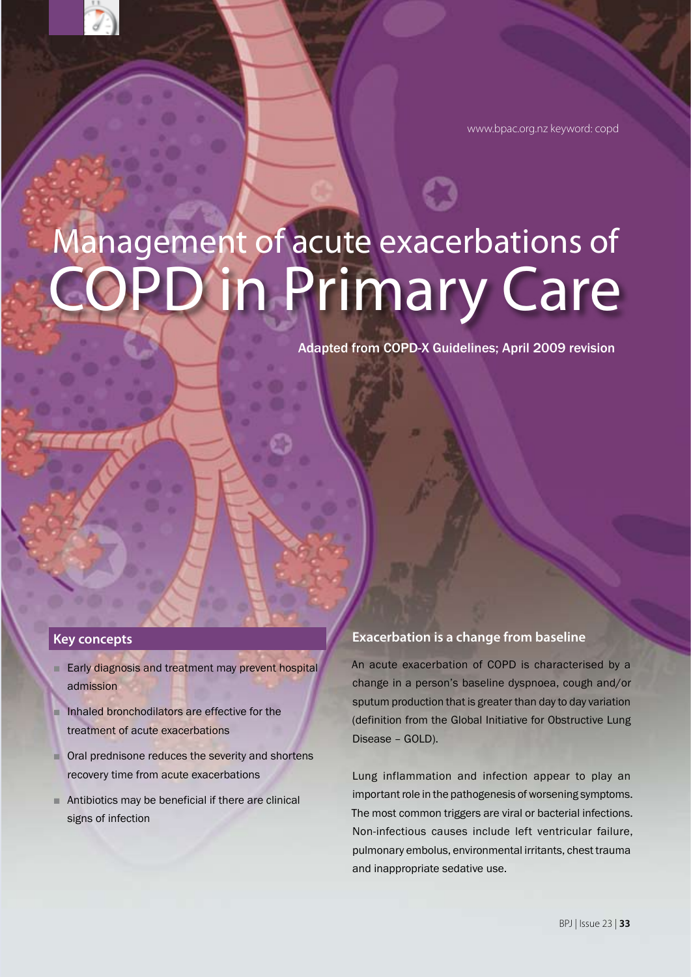www.bpac.org.nz keyword: copd

# COPD in Primary Care Management of acute exacerbations of

Adapted from COPD-X Guidelines; April 2009 revision

#### **Key concepts**

- Early diagnosis and treatment may prevent hospital admission
- Inhaled bronchodilators are effective for the treatment of acute exacerbations
- Oral prednisone reduces the severity and shortens recovery time from acute exacerbations
- Antibiotics may be beneficial if there are clinical signs of infection

#### **Exacerbation is a change from baseline**

An acute exacerbation of COPD is characterised by a change in a person's baseline dyspnoea, cough and/or sputum production that is greater than day to day variation (definition from the Global Initiative for Obstructive Lung Disease – GOLD).

Lung inflammation and infection appear to play an important role in the pathogenesis of worsening symptoms. The most common triggers are viral or bacterial infections. Non-infectious causes include left ventricular failure, pulmonary embolus, environmental irritants, chest trauma and inappropriate sedative use.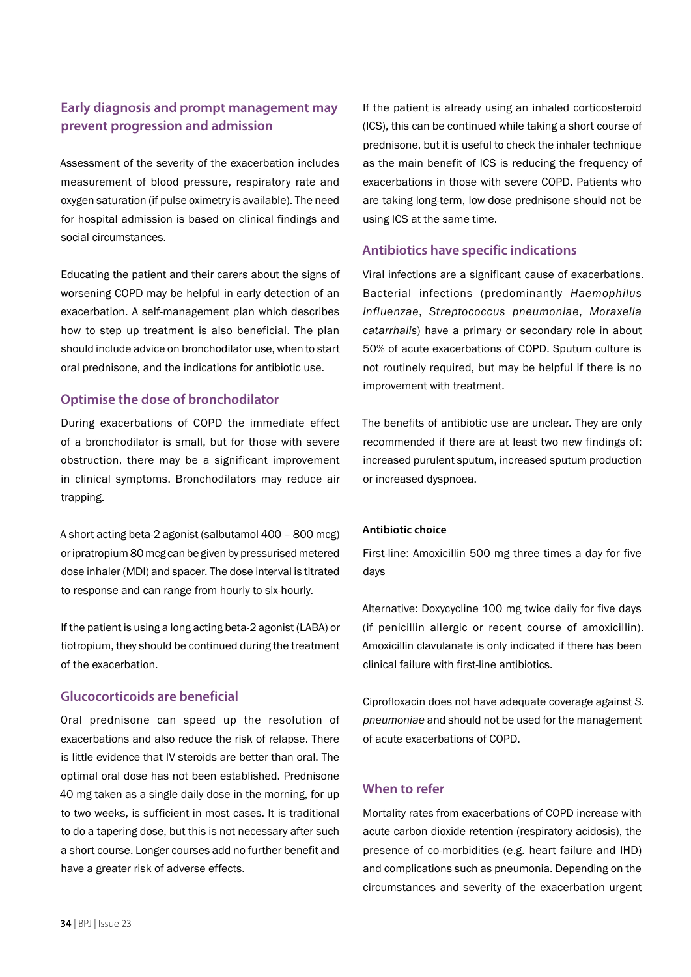## **Early diagnosis and prompt management may prevent progression and admission**

Assessment of the severity of the exacerbation includes measurement of blood pressure, respiratory rate and oxygen saturation (if pulse oximetry is available). The need for hospital admission is based on clinical findings and social circumstances.

Educating the patient and their carers about the signs of worsening COPD may be helpful in early detection of an exacerbation. A self-management plan which describes how to step up treatment is also beneficial. The plan should include advice on bronchodilator use, when to start oral prednisone, and the indications for antibiotic use.

## **Optimise the dose of bronchodilator**

During exacerbations of COPD the immediate effect of a bronchodilator is small, but for those with severe obstruction, there may be a significant improvement in clinical symptoms. Bronchodilators may reduce air trapping.

A short acting beta-2 agonist (salbutamol 400 – 800 mcg) or ipratropium 80 mcg can be given by pressurised metered dose inhaler (MDI) and spacer. The dose interval is titrated to response and can range from hourly to six-hourly.

If the patient is using a long acting beta-2 agonist (LABA) or tiotropium, they should be continued during the treatment of the exacerbation.

## **Glucocorticoids are beneficial**

Oral prednisone can speed up the resolution of exacerbations and also reduce the risk of relapse. There is little evidence that IV steroids are better than oral. The optimal oral dose has not been established. Prednisone 40 mg taken as a single daily dose in the morning, for up to two weeks, is sufficient in most cases. It is traditional to do a tapering dose, but this is not necessary after such a short course. Longer courses add no further benefit and have a greater risk of adverse effects.

If the patient is already using an inhaled corticosteroid (ICS), this can be continued while taking a short course of prednisone, but it is useful to check the inhaler technique as the main benefit of ICS is reducing the frequency of exacerbations in those with severe COPD. Patients who are taking long-term, low-dose prednisone should not be using ICS at the same time.

#### **Antibiotics have specific indications**

Viral infections are a significant cause of exacerbations. Bacterial infections (predominantly *Haemophilus influenzae*, *Streptococcus pneumoniae*, *Moraxella catarrhalis*) have a primary or secondary role in about 50% of acute exacerbations of COPD. Sputum culture is not routinely required, but may be helpful if there is no improvement with treatment.

The benefits of antibiotic use are unclear. They are only recommended if there are at least two new findings of: increased purulent sputum, increased sputum production or increased dyspnoea.

#### **Antibiotic choice**

First-line: Amoxicillin 500 mg three times a day for five days

Alternative: Doxycycline 100 mg twice daily for five days (if penicillin allergic or recent course of amoxicillin). Amoxicillin clavulanate is only indicated if there has been clinical failure with first-line antibiotics.

Ciprofloxacin does not have adequate coverage against *S. pneumoniae* and should not be used for the management of acute exacerbations of COPD.

## **When to refer**

Mortality rates from exacerbations of COPD increase with acute carbon dioxide retention (respiratory acidosis), the presence of co-morbidities (e.g. heart failure and IHD) and complications such as pneumonia. Depending on the circumstances and severity of the exacerbation urgent